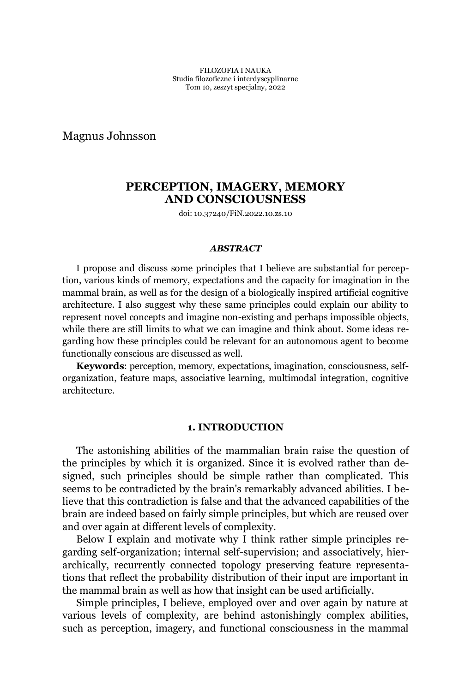Magnus Johnsson

# **PERCEPTION, IMAGERY, MEMORY AND CONSCIOUSNESS**

doi: 10.37240/FiN.2022.10.zs.10

### *ABSTRACT*

I propose and discuss some principles that I believe are substantial for perception, various kinds of memory, expectations and the capacity for imagination in the mammal brain, as well as for the design of a biologically inspired artificial cognitive architecture. I also suggest why these same principles could explain our ability to represent novel concepts and imagine non-existing and perhaps impossible objects, while there are still limits to what we can imagine and think about. Some ideas regarding how these principles could be relevant for an autonomous agent to become functionally conscious are discussed as well.

**Keywords**: perception, memory, expectations, imagination, consciousness, selforganization, feature maps, associative learning, multimodal integration, cognitive architecture.

### **1. INTRODUCTION**

The astonishing abilities of the mammalian brain raise the question of the principles by which it is organized. Since it is evolved rather than designed, such principles should be simple rather than complicated. This seems to be contradicted by the brain's remarkably advanced abilities. I believe that this contradiction is false and that the advanced capabilities of the brain are indeed based on fairly simple principles, but which are reused over and over again at different levels of complexity.

Below I explain and motivate why I think rather simple principles regarding self-organization; internal self-supervision; and associatively, hierarchically, recurrently connected topology preserving feature representations that reflect the probability distribution of their input are important in the mammal brain as well as how that insight can be used artificially.

Simple principles, I believe, employed over and over again by nature at various levels of complexity, are behind astonishingly complex abilities, such as perception, imagery, and functional consciousness in the mammal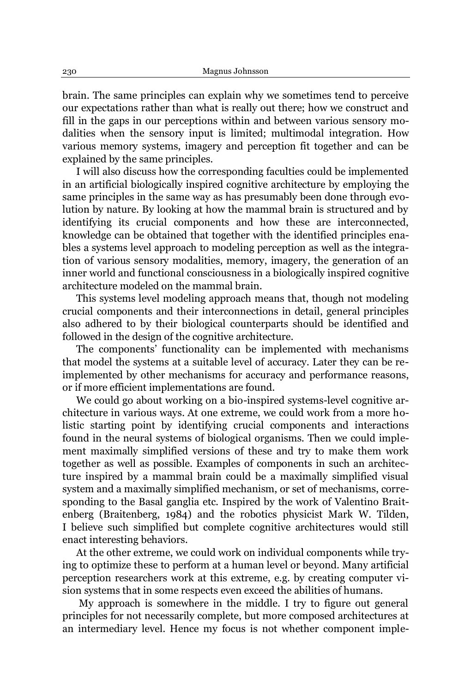brain. The same principles can explain why we sometimes tend to perceive our expectations rather than what is really out there; how we construct and fill in the gaps in our perceptions within and between various sensory modalities when the sensory input is limited; multimodal integration. How various memory systems, imagery and perception fit together and can be explained by the same principles.

I will also discuss how the corresponding faculties could be implemented in an artificial biologically inspired cognitive architecture by employing the same principles in the same way as has presumably been done through evolution by nature. By looking at how the mammal brain is structured and by identifying its crucial components and how these are interconnected, knowledge can be obtained that together with the identified principles enables a systems level approach to modeling perception as well as the integration of various sensory modalities, memory, imagery, the generation of an inner world and functional consciousness in a biologically inspired cognitive architecture modeled on the mammal brain.

This systems level modeling approach means that, though not modeling crucial components and their interconnections in detail, general principles also adhered to by their biological counterparts should be identified and followed in the design of the cognitive architecture.

The components' functionality can be implemented with mechanisms that model the systems at a suitable level of accuracy. Later they can be reimplemented by other mechanisms for accuracy and performance reasons, or if more efficient implementations are found.

We could go about working on a bio-inspired systems-level cognitive architecture in various ways. At one extreme, we could work from a more holistic starting point by identifying crucial components and interactions found in the neural systems of biological organisms. Then we could implement maximally simplified versions of these and try to make them work together as well as possible. Examples of components in such an architecture inspired by a mammal brain could be a maximally simplified visual system and a maximally simplified mechanism, or set of mechanisms, corresponding to the Basal ganglia etc. Inspired by the work of Valentino Braitenberg (Braitenberg, 1984) and the robotics physicist Mark W. Tilden, I believe such simplified but complete cognitive architectures would still enact interesting behaviors.

At the other extreme, we could work on individual components while trying to optimize these to perform at a human level or beyond. Many artificial perception researchers work at this extreme, e.g. by creating computer vision systems that in some respects even exceed the abilities of humans.

My approach is somewhere in the middle. I try to figure out general principles for not necessarily complete, but more composed architectures at an intermediary level. Hence my focus is not whether component imple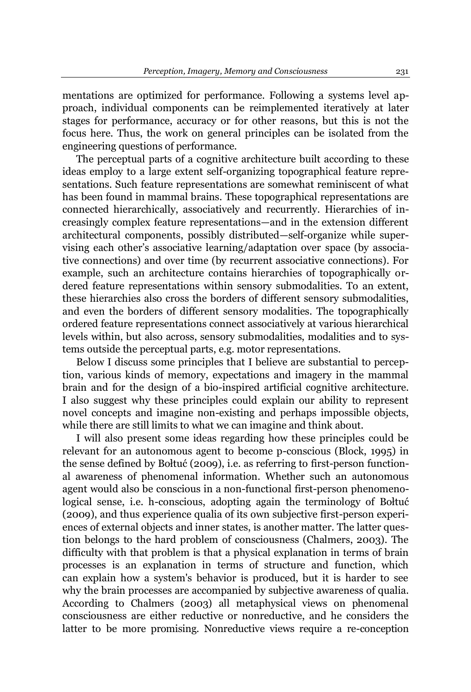mentations are optimized for performance. Following a systems level approach, individual components can be reimplemented iteratively at later stages for performance, accuracy or for other reasons, but this is not the focus here. Thus, the work on general principles can be isolated from the engineering questions of performance.

The perceptual parts of a cognitive architecture built according to these ideas employ to a large extent self-organizing topographical feature representations. Such feature representations are somewhat reminiscent of what has been found in mammal brains. These topographical representations are connected hierarchically, associatively and recurrently. Hierarchies of increasingly complex feature representations—and in the extension different architectural components, possibly distributed—self-organize while supervising each other's associative learning/adaptation over space (by associative connections) and over time (by recurrent associative connections). For example, such an architecture contains hierarchies of topographically ordered feature representations within sensory submodalities. To an extent, these hierarchies also cross the borders of different sensory submodalities, and even the borders of different sensory modalities. The topographically ordered feature representations connect associatively at various hierarchical levels within, but also across, sensory submodalities, modalities and to systems outside the perceptual parts, e.g. motor representations.

Below I discuss some principles that I believe are substantial to perception, various kinds of memory, expectations and imagery in the mammal brain and for the design of a bio-inspired artificial cognitive architecture. I also suggest why these principles could explain our ability to represent novel concepts and imagine non-existing and perhaps impossible objects, while there are still limits to what we can imagine and think about.

I will also present some ideas regarding how these principles could be relevant for an autonomous agent to become p-conscious (Block, 1995) in the sense defined by Bołtuć (2009), i.e. as referring to first-person functional awareness of phenomenal information. Whether such an autonomous agent would also be conscious in a non-functional first-person phenomenological sense, i.e. h-conscious, adopting again the terminology of Boltuć (2009), and thus experience qualia of its own subjective first-person experiences of external objects and inner states, is another matter. The latter question belongs to the hard problem of consciousness (Chalmers, 2003). The difficulty with that problem is that a physical explanation in terms of brain processes is an explanation in terms of structure and function, which can explain how a system's behavior is produced, but it is harder to see why the brain processes are accompanied by subjective awareness of qualia. According to Chalmers (2003) all metaphysical views on phenomenal consciousness are either reductive or nonreductive, and he considers the latter to be more promising. Nonreductive views require a re-conception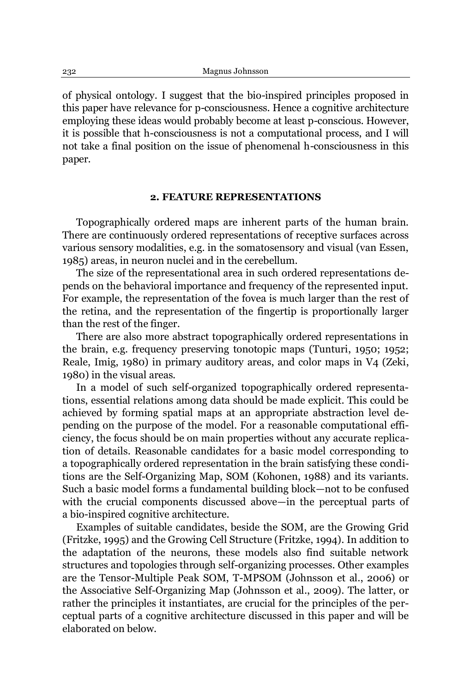of physical ontology. I suggest that the bio-inspired principles proposed in this paper have relevance for p-consciousness. Hence a cognitive architecture employing these ideas would probably become at least p-conscious. However, it is possible that h-consciousness is not a computational process, and I will not take a final position on the issue of phenomenal h-consciousness in this paper.

# **2. FEATURE REPRESENTATIONS**

Topographically ordered maps are inherent parts of the human brain. There are continuously ordered representations of receptive surfaces across various sensory modalities, e.g. in the somatosensory and visual (van Essen, 1985) areas, in neuron nuclei and in the cerebellum.

The size of the representational area in such ordered representations depends on the behavioral importance and frequency of the represented input. For example, the representation of the fovea is much larger than the rest of the retina, and the representation of the fingertip is proportionally larger than the rest of the finger.

There are also more abstract topographically ordered representations in the brain, e.g. frequency preserving tonotopic maps (Tunturi, 1950; 1952; Reale, Imig, 1980) in primary auditory areas, and color maps in V4 (Zeki, 1980) in the visual areas.

In a model of such self-organized topographically ordered representations, essential relations among data should be made explicit. This could be achieved by forming spatial maps at an appropriate abstraction level depending on the purpose of the model. For a reasonable computational efficiency, the focus should be on main properties without any accurate replication of details. Reasonable candidates for a basic model corresponding to a topographically ordered representation in the brain satisfying these conditions are the Self-Organizing Map, SOM (Kohonen, 1988) and its variants. Such a basic model forms a fundamental building block—not to be confused with the crucial components discussed above—in the perceptual parts of a bio-inspired cognitive architecture.

Examples of suitable candidates, beside the SOM, are the Growing Grid (Fritzke, 1995) and the Growing Cell Structure (Fritzke, 1994). In addition to the adaptation of the neurons, these models also find suitable network structures and topologies through self-organizing processes. Other examples are the Tensor-Multiple Peak SOM, T-MPSOM (Johnsson et al., 2006) or the Associative Self-Organizing Map (Johnsson et al., 2009). The latter, or rather the principles it instantiates, are crucial for the principles of the perceptual parts of a cognitive architecture discussed in this paper and will be elaborated on below.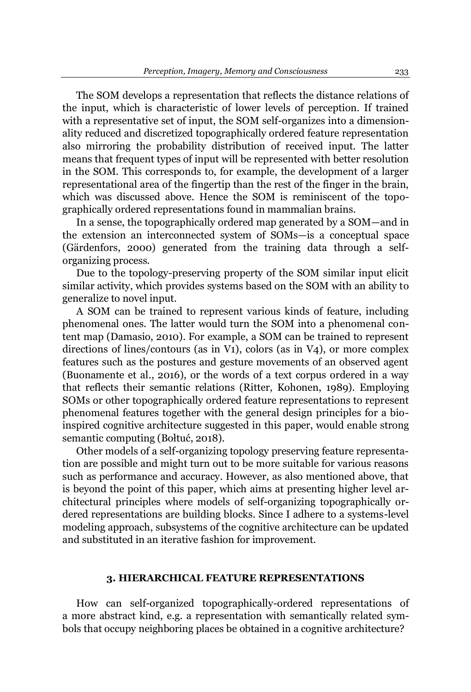The SOM develops a representation that reflects the distance relations of the input, which is characteristic of lower levels of perception. If trained with a representative set of input, the SOM self-organizes into a dimensionality reduced and discretized topographically ordered feature representation also mirroring the probability distribution of received input. The latter means that frequent types of input will be represented with better resolution in the SOM. This corresponds to, for example, the development of a larger representational area of the fingertip than the rest of the finger in the brain, which was discussed above. Hence the SOM is reminiscent of the topographically ordered representations found in mammalian brains.

In a sense, the topographically ordered map generated by a  $SOM$ —and in the extension an interconnected system of SOMs-is a conceptual space (Gärdenfors, 2000) generated from the training data through a selforganizing process.

Due to the topology-preserving property of the SOM similar input elicit similar activity, which provides systems based on the SOM with an ability to generalize to novel input.

A SOM can be trained to represent various kinds of feature, including phenomenal ones. The latter would turn the SOM into a phenomenal content map (Damasio, 2010). For example, a SOM can be trained to represent directions of lines/contours (as in V1), colors (as in V4), or more complex features such as the postures and gesture movements of an observed agent (Buonamente et al., 2016), or the words of a text corpus ordered in a way that reflects their semantic relations (Ritter, Kohonen, 1989). Employing SOMs or other topographically ordered feature representations to represent phenomenal features together with the general design principles for a bioinspired cognitive architecture suggested in this paper, would enable strong semantic computing (Bołtuć, 2018).

Other models of a self-organizing topology preserving feature representation are possible and might turn out to be more suitable for various reasons such as performance and accuracy. However, as also mentioned above, that is beyond the point of this paper, which aims at presenting higher level architectural principles where models of self-organizing topographically ordered representations are building blocks. Since I adhere to a systems-level modeling approach, subsystems of the cognitive architecture can be updated and substituted in an iterative fashion for improvement.

# **3. HIERARCHICAL FEATURE REPRESENTATIONS**

How can self-organized topographically-ordered representations of a more abstract kind, e.g. a representation with semantically related symbols that occupy neighboring places be obtained in a cognitive architecture?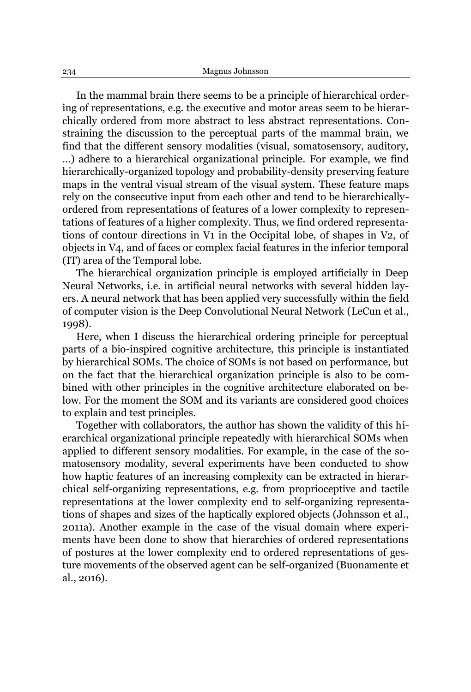In the mammal brain there seems to be a principle of hierarchical ordering of representations, e.g. the executive and motor areas seem to be hierarchically ordered from more abstract to less abstract representations. Constraining the discussion to the perceptual parts of the mammal brain, we find that the different sensory modalities (visual, somatosensory, auditory, ...) adhere to a hierarchical organizational principle. For example, we find hierarchically-organized topology and probability-density preserving feature maps in the ventral visual stream of the visual system. These feature maps rely on the consecutive input from each other and tend to be hierarchicallyordered from representations of features of a lower complexity to representations of features of a higher complexity. Thus, we find ordered representations of contour directions in V1 in the Occipital lobe, of shapes in V2, of objects in V4, and of faces or complex facial features in the inferior temporal (IT) area of the Temporal lobe.

The hierarchical organization principle is employed artificially in Deep Neural Networks, i.e. in artificial neural networks with several hidden layers. A neural network that has been applied very successfully within the field of computer vision is the Deep Convolutional Neural Network (LeCun et al., 1998).

Here, when I discuss the hierarchical ordering principle for perceptual parts of a bio-inspired cognitive architecture, this principle is instantiated by hierarchical SOMs. The choice of SOMs is not based on performance, but on the fact that the hierarchical organization principle is also to be combined with other principles in the cognitive architecture elaborated on below. For the moment the SOM and its variants are considered good choices to explain and test principles.

Together with collaborators, the author has shown the validity of this hierarchical organizational principle repeatedly with hierarchical SOMs when applied to different sensory modalities. For example, in the case of the somatosensory modality, several experiments have been conducted to show how haptic features of an increasing complexity can be extracted in hierarchical self-organizing representations, e.g. from proprioceptive and tactile representations at the lower complexity end to self-organizing representations of shapes and sizes of the haptically explored objects (Johnsson et al., 2011a). Another example in the case of the visual domain where experiments have been done to show that hierarchies of ordered representations of postures at the lower complexity end to ordered representations of gesture movements of the observed agent can be self-organized (Buonamente et al., 2016).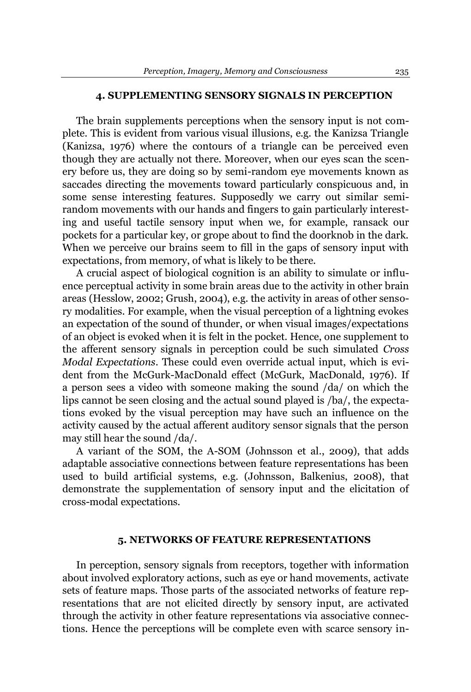#### **4. SUPPLEMENTING SENSORY SIGNALS IN PERCEPTION**

The brain supplements perceptions when the sensory input is not complete. This is evident from various visual illusions, e.g. the Kanizsa Triangle (Kanizsa, 1976) where the contours of a triangle can be perceived even though they are actually not there. Moreover, when our eyes scan the scenery before us, they are doing so by semi-random eye movements known as saccades directing the movements toward particularly conspicuous and, in some sense interesting features. Supposedly we carry out similar semirandom movements with our hands and fingers to gain particularly interesting and useful tactile sensory input when we, for example, ransack our pockets for a particular key, or grope about to find the doorknob in the dark. When we perceive our brains seem to fill in the gaps of sensory input with expectations, from memory, of what is likely to be there.

A crucial aspect of biological cognition is an ability to simulate or influence perceptual activity in some brain areas due to the activity in other brain areas (Hesslow, 2002; Grush, 2004), e.g. the activity in areas of other sensory modalities. For example, when the visual perception of a lightning evokes an expectation of the sound of thunder, or when visual images/expectations of an object is evoked when it is felt in the pocket. Hence, one supplement to the afferent sensory signals in perception could be such simulated *Cross Modal Expectations*. These could even override actual input, which is evident from the McGurk-MacDonald effect (McGurk, MacDonald, 1976). If a person sees a video with someone making the sound /da/ on which the lips cannot be seen closing and the actual sound played is /ba/, the expectations evoked by the visual perception may have such an influence on the activity caused by the actual afferent auditory sensor signals that the person may still hear the sound /da/.

A variant of the SOM, the A-SOM (Johnsson et al., 2009), that adds adaptable associative connections between feature representations has been used to build artificial systems, e.g. (Johnsson, Balkenius, 2008), that demonstrate the supplementation of sensory input and the elicitation of cross-modal expectations.

#### **5. NETWORKS OF FEATURE REPRESENTATIONS**

In perception, sensory signals from receptors, together with information about involved exploratory actions, such as eye or hand movements, activate sets of feature maps. Those parts of the associated networks of feature representations that are not elicited directly by sensory input, are activated through the activity in other feature representations via associative connections. Hence the perceptions will be complete even with scarce sensory in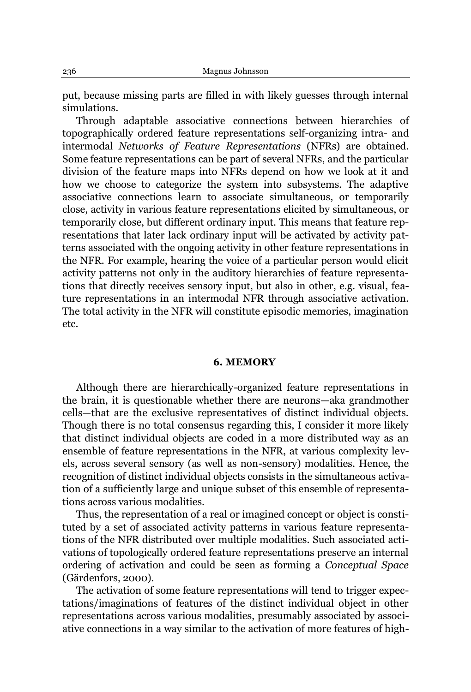put, because missing parts are filled in with likely guesses through internal simulations.

Through adaptable associative connections between hierarchies of topographically ordered feature representations self-organizing intra- and intermodal *Networks of Feature Representations* (NFRs) are obtained. Some feature representations can be part of several NFRs, and the particular division of the feature maps into NFRs depend on how we look at it and how we choose to categorize the system into subsystems. The adaptive associative connections learn to associate simultaneous, or temporarily close, activity in various feature representations elicited by simultaneous, or temporarily close, but different ordinary input. This means that feature representations that later lack ordinary input will be activated by activity patterns associated with the ongoing activity in other feature representations in the NFR. For example, hearing the voice of a particular person would elicit activity patterns not only in the auditory hierarchies of feature representations that directly receives sensory input, but also in other, e.g. visual, feature representations in an intermodal NFR through associative activation. The total activity in the NFR will constitute episodic memories, imagination etc.

#### **6. MEMORY**

Although there are hierarchically-organized feature representations in the brain, it is questionable whether there are neurons—aka grandmother cells—that are the exclusive representatives of distinct individual objects. Though there is no total consensus regarding this, I consider it more likely that distinct individual objects are coded in a more distributed way as an ensemble of feature representations in the NFR, at various complexity levels, across several sensory (as well as non-sensory) modalities. Hence, the recognition of distinct individual objects consists in the simultaneous activation of a sufficiently large and unique subset of this ensemble of representations across various modalities.

Thus, the representation of a real or imagined concept or object is constituted by a set of associated activity patterns in various feature representations of the NFR distributed over multiple modalities. Such associated activations of topologically ordered feature representations preserve an internal ordering of activation and could be seen as forming a *Conceptual Space* (Gärdenfors, 2000).

The activation of some feature representations will tend to trigger expectations/imaginations of features of the distinct individual object in other representations across various modalities, presumably associated by associative connections in a way similar to the activation of more features of high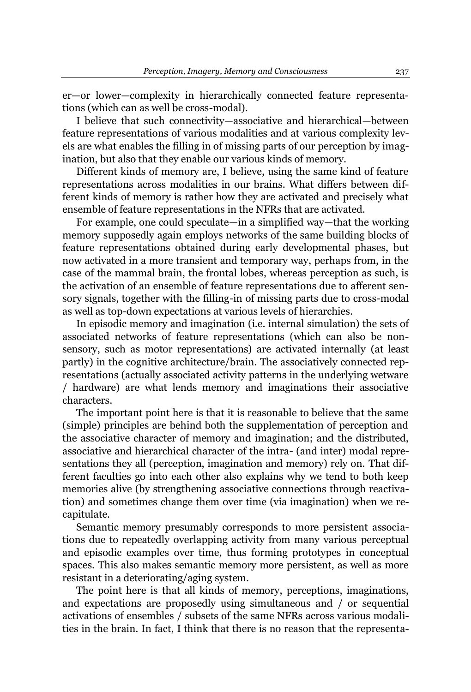er-or lower-complexity in hierarchically connected feature representations (which can as well be cross-modal).

I believe that such connectivity—associative and hierarchical—between feature representations of various modalities and at various complexity levels are what enables the filling in of missing parts of our perception by imagination, but also that they enable our various kinds of memory.

Different kinds of memory are, I believe, using the same kind of feature representations across modalities in our brains. What differs between different kinds of memory is rather how they are activated and precisely what ensemble of feature representations in the NFRs that are activated.

For example, one could speculate—in a simplified way—that the working memory supposedly again employs networks of the same building blocks of feature representations obtained during early developmental phases, but now activated in a more transient and temporary way, perhaps from, in the case of the mammal brain, the frontal lobes, whereas perception as such, is the activation of an ensemble of feature representations due to afferent sensory signals, together with the filling-in of missing parts due to cross-modal as well as top-down expectations at various levels of hierarchies.

In episodic memory and imagination (i.e. internal simulation) the sets of associated networks of feature representations (which can also be nonsensory, such as motor representations) are activated internally (at least partly) in the cognitive architecture/brain. The associatively connected representations (actually associated activity patterns in the underlying wetware / hardware) are what lends memory and imaginations their associative characters.

The important point here is that it is reasonable to believe that the same (simple) principles are behind both the supplementation of perception and the associative character of memory and imagination; and the distributed, associative and hierarchical character of the intra- (and inter) modal representations they all (perception, imagination and memory) rely on. That different faculties go into each other also explains why we tend to both keep memories alive (by strengthening associative connections through reactivation) and sometimes change them over time (via imagination) when we recapitulate.

Semantic memory presumably corresponds to more persistent associations due to repeatedly overlapping activity from many various perceptual and episodic examples over time, thus forming prototypes in conceptual spaces. This also makes semantic memory more persistent, as well as more resistant in a deteriorating/aging system.

The point here is that all kinds of memory, perceptions, imaginations, and expectations are proposedly using simultaneous and / or sequential activations of ensembles / subsets of the same NFRs across various modalities in the brain. In fact, I think that there is no reason that the representa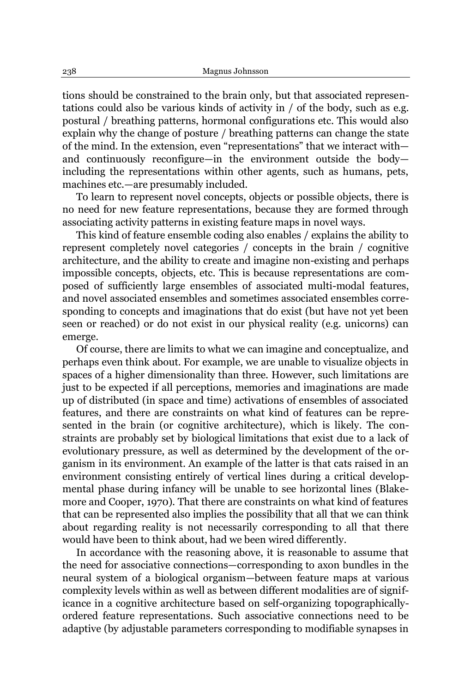tions should be constrained to the brain only, but that associated representations could also be various kinds of activity in / of the body, such as e.g. postural / breathing patterns, hormonal configurations etc. This would also explain why the change of posture / breathing patterns can change the state of the mind. In the extension, even "representations" that we interact withand continuously reconfigure—in the environment outside the body including the representations within other agents, such as humans, pets, machines etc.—are presumably included.

To learn to represent novel concepts, objects or possible objects, there is no need for new feature representations, because they are formed through associating activity patterns in existing feature maps in novel ways.

This kind of feature ensemble coding also enables / explains the ability to represent completely novel categories / concepts in the brain / cognitive architecture, and the ability to create and imagine non-existing and perhaps impossible concepts, objects, etc. This is because representations are composed of sufficiently large ensembles of associated multi-modal features, and novel associated ensembles and sometimes associated ensembles corresponding to concepts and imaginations that do exist (but have not yet been seen or reached) or do not exist in our physical reality (e.g. unicorns) can emerge.

Of course, there are limits to what we can imagine and conceptualize, and perhaps even think about. For example, we are unable to visualize objects in spaces of a higher dimensionality than three. However, such limitations are just to be expected if all perceptions, memories and imaginations are made up of distributed (in space and time) activations of ensembles of associated features, and there are constraints on what kind of features can be represented in the brain (or cognitive architecture), which is likely. The constraints are probably set by biological limitations that exist due to a lack of evolutionary pressure, as well as determined by the development of the organism in its environment. An example of the latter is that cats raised in an environment consisting entirely of vertical lines during a critical developmental phase during infancy will be unable to see horizontal lines (Blakemore and Cooper, 1970). That there are constraints on what kind of features that can be represented also implies the possibility that all that we can think about regarding reality is not necessarily corresponding to all that there would have been to think about, had we been wired differently.

In accordance with the reasoning above, it is reasonable to assume that the need for associative connections—corresponding to axon bundles in the neural system of a biological organism—between feature maps at various complexity levels within as well as between different modalities are of significance in a cognitive architecture based on self-organizing topographicallyordered feature representations. Such associative connections need to be adaptive (by adjustable parameters corresponding to modifiable synapses in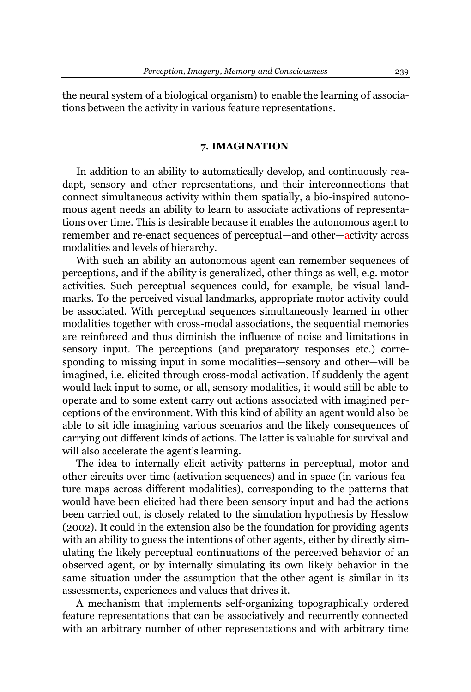the neural system of a biological organism) to enable the learning of associations between the activity in various feature representations.

### **7. IMAGINATION**

In addition to an ability to automatically develop, and continuously readapt, sensory and other representations, and their interconnections that connect simultaneous activity within them spatially, a bio-inspired autonomous agent needs an ability to learn to associate activations of representations over time. This is desirable because it enables the autonomous agent to remember and re-enact sequences of perceptual—and other—activity across modalities and levels of hierarchy.

With such an ability an autonomous agent can remember sequences of perceptions, and if the ability is generalized, other things as well, e.g. motor activities. Such perceptual sequences could, for example, be visual landmarks. To the perceived visual landmarks, appropriate motor activity could be associated. With perceptual sequences simultaneously learned in other modalities together with cross-modal associations, the sequential memories are reinforced and thus diminish the influence of noise and limitations in sensory input. The perceptions (and preparatory responses etc.) corresponding to missing input in some modalities—sensory and other—will be imagined, i.e. elicited through cross-modal activation. If suddenly the agent would lack input to some, or all, sensory modalities, it would still be able to operate and to some extent carry out actions associated with imagined perceptions of the environment. With this kind of ability an agent would also be able to sit idle imagining various scenarios and the likely consequences of carrying out different kinds of actions. The latter is valuable for survival and will also accelerate the agent's learning.

The idea to internally elicit activity patterns in perceptual, motor and other circuits over time (activation sequences) and in space (in various feature maps across different modalities), corresponding to the patterns that would have been elicited had there been sensory input and had the actions been carried out, is closely related to the simulation hypothesis by Hesslow (2002). It could in the extension also be the foundation for providing agents with an ability to guess the intentions of other agents, either by directly simulating the likely perceptual continuations of the perceived behavior of an observed agent, or by internally simulating its own likely behavior in the same situation under the assumption that the other agent is similar in its assessments, experiences and values that drives it.

A mechanism that implements self-organizing topographically ordered feature representations that can be associatively and recurrently connected with an arbitrary number of other representations and with arbitrary time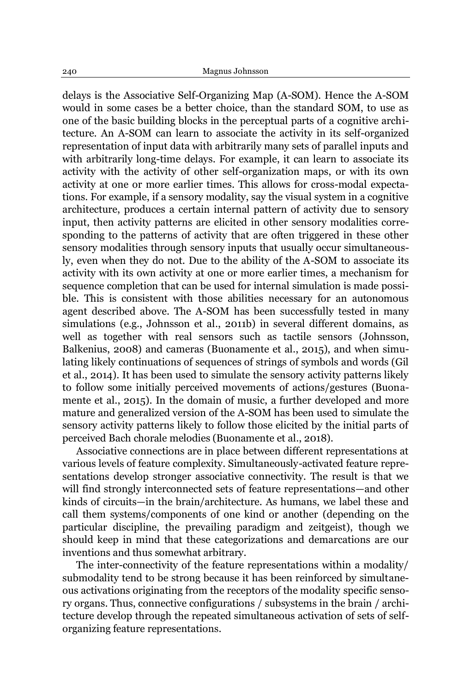delays is the Associative Self-Organizing Map (A-SOM). Hence the A-SOM would in some cases be a better choice, than the standard SOM, to use as one of the basic building blocks in the perceptual parts of a cognitive architecture. An A-SOM can learn to associate the activity in its self-organized representation of input data with arbitrarily many sets of parallel inputs and with arbitrarily long-time delays. For example, it can learn to associate its activity with the activity of other self-organization maps, or with its own activity at one or more earlier times. This allows for cross-modal expectations. For example, if a sensory modality, say the visual system in a cognitive architecture, produces a certain internal pattern of activity due to sensory input, then activity patterns are elicited in other sensory modalities corresponding to the patterns of activity that are often triggered in these other sensory modalities through sensory inputs that usually occur simultaneously, even when they do not. Due to the ability of the A-SOM to associate its activity with its own activity at one or more earlier times, a mechanism for sequence completion that can be used for internal simulation is made possible. This is consistent with those abilities necessary for an autonomous agent described above. The A-SOM has been successfully tested in many simulations (e.g., Johnsson et al., 2011b) in several different domains, as well as together with real sensors such as tactile sensors (Johnsson, Balkenius, 2008) and cameras (Buonamente et al., 2015), and when simulating likely continuations of sequences of strings of symbols and words (Gil et al., 2014). It has been used to simulate the sensory activity patterns likely to follow some initially perceived movements of actions/gestures (Buonamente et al., 2015). In the domain of music, a further developed and more mature and generalized version of the A-SOM has been used to simulate the sensory activity patterns likely to follow those elicited by the initial parts of perceived Bach chorale melodies (Buonamente et al., 2018).

Associative connections are in place between different representations at various levels of feature complexity. Simultaneously-activated feature representations develop stronger associative connectivity. The result is that we will find strongly interconnected sets of feature representations—and other kinds of circuits—in the brain/architecture. As humans, we label these and call them systems/components of one kind or another (depending on the particular discipline, the prevailing paradigm and zeitgeist), though we should keep in mind that these categorizations and demarcations are our inventions and thus somewhat arbitrary.

The inter-connectivity of the feature representations within a modality/ submodality tend to be strong because it has been reinforced by simultaneous activations originating from the receptors of the modality specific sensory organs. Thus, connective configurations / subsystems in the brain / architecture develop through the repeated simultaneous activation of sets of selforganizing feature representations.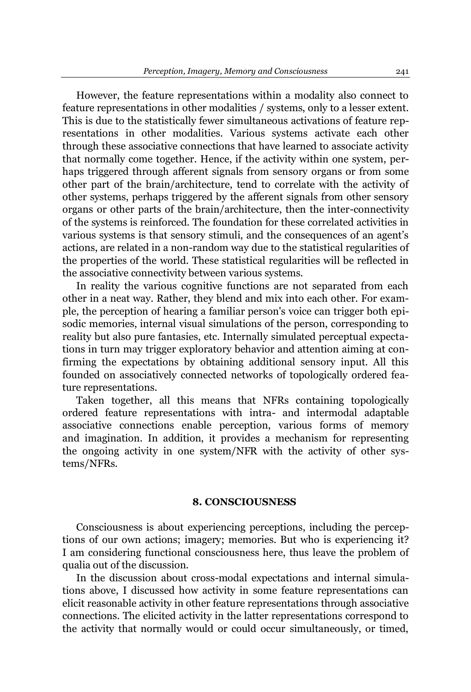However, the feature representations within a modality also connect to feature representations in other modalities / systems, only to a lesser extent. This is due to the statistically fewer simultaneous activations of feature representations in other modalities. Various systems activate each other through these associative connections that have learned to associate activity that normally come together. Hence, if the activity within one system, perhaps triggered through afferent signals from sensory organs or from some other part of the brain/architecture, tend to correlate with the activity of other systems, perhaps triggered by the afferent signals from other sensory organs or other parts of the brain/architecture, then the inter-connectivity of the systems is reinforced. The foundation for these correlated activities in various systems is that sensory stimuli, and the consequences of an agent's actions, are related in a non-random way due to the statistical regularities of the properties of the world. These statistical regularities will be reflected in the associative connectivity between various systems.

In reality the various cognitive functions are not separated from each other in a neat way. Rather, they blend and mix into each other. For example, the perception of hearing a familiar person's voice can trigger both episodic memories, internal visual simulations of the person, corresponding to reality but also pure fantasies, etc. Internally simulated perceptual expectations in turn may trigger exploratory behavior and attention aiming at confirming the expectations by obtaining additional sensory input. All this founded on associatively connected networks of topologically ordered feature representations.

Taken together, all this means that NFRs containing topologically ordered feature representations with intra- and intermodal adaptable associative connections enable perception, various forms of memory and imagination. In addition, it provides a mechanism for representing the ongoing activity in one system/NFR with the activity of other systems/NFRs.

# **8. CONSCIOUSNESS**

Consciousness is about experiencing perceptions, including the perceptions of our own actions; imagery; memories. But who is experiencing it? I am considering functional consciousness here, thus leave the problem of qualia out of the discussion.

In the discussion about cross-modal expectations and internal simulations above, I discussed how activity in some feature representations can elicit reasonable activity in other feature representations through associative connections. The elicited activity in the latter representations correspond to the activity that normally would or could occur simultaneously, or timed,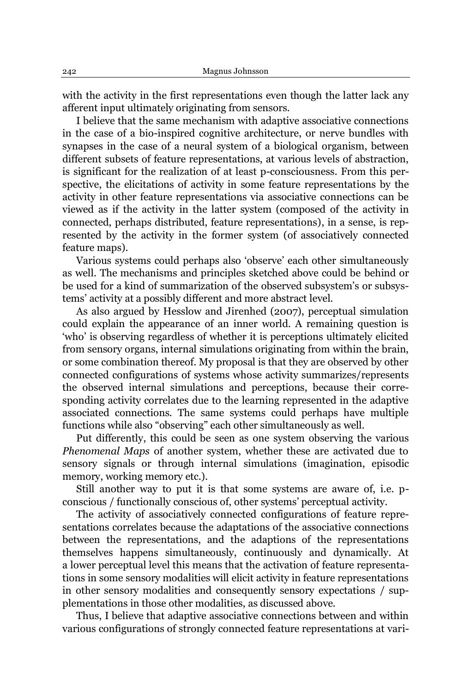with the activity in the first representations even though the latter lack any afferent input ultimately originating from sensors.

I believe that the same mechanism with adaptive associative connections in the case of a bio-inspired cognitive architecture, or nerve bundles with synapses in the case of a neural system of a biological organism, between different subsets of feature representations, at various levels of abstraction, is significant for the realization of at least p-consciousness. From this perspective, the elicitations of activity in some feature representations by the activity in other feature representations via associative connections can be viewed as if the activity in the latter system (composed of the activity in connected, perhaps distributed, feature representations), in a sense, is represented by the activity in the former system (of associatively connected feature maps).

Various systems could perhaps also 'observe' each other simultaneously as well. The mechanisms and principles sketched above could be behind or be used for a kind of summarization of the observed subsystem's or subsystems' activity at a possibly different and more abstract level.

As also argued by Hesslow and Jirenhed (2007), perceptual simulation could explain the appearance of an inner world. A remaining question is 'who' is observing regardless of whether it is perceptions ultimately elicited from sensory organs, internal simulations originating from within the brain, or some combination thereof. My proposal is that they are observed by other connected configurations of systems whose activity summarizes/represents the observed internal simulations and perceptions, because their corresponding activity correlates due to the learning represented in the adaptive associated connections. The same systems could perhaps have multiple functions while also "observing" each other simultaneously as well.

Put differently, this could be seen as one system observing the various *Phenomenal Maps* of another system, whether these are activated due to sensory signals or through internal simulations (imagination, episodic memory, working memory etc.).

Still another way to put it is that some systems are aware of, i.e. pconscious / functionally conscious of, other systems' perceptual activity.

The activity of associatively connected configurations of feature representations correlates because the adaptations of the associative connections between the representations, and the adaptions of the representations themselves happens simultaneously, continuously and dynamically. At a lower perceptual level this means that the activation of feature representations in some sensory modalities will elicit activity in feature representations in other sensory modalities and consequently sensory expectations / supplementations in those other modalities, as discussed above.

Thus, I believe that adaptive associative connections between and within various configurations of strongly connected feature representations at vari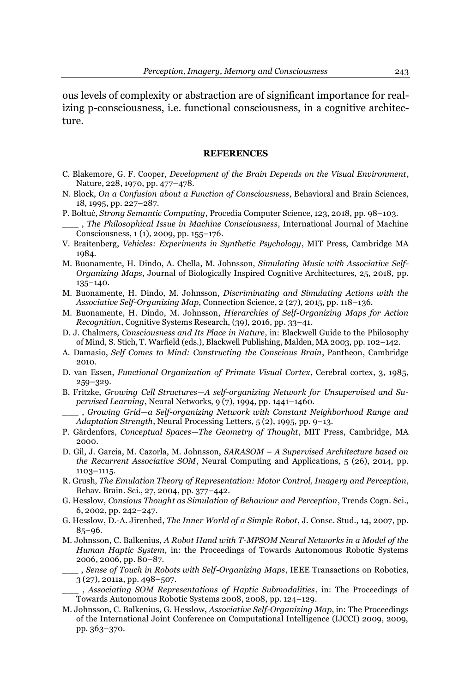ous levels of complexity or abstraction are of significant importance for realizing p-consciousness, i.e. functional consciousness, in a cognitive architecture.

## **REFERENCES**

- C. Blakemore, G. F. Cooper, *Development of the Brain Depends on the Visual Environment*, Nature, 228, 1970, pp. 477-478.
- N. Block, *On a Confusion about a Function of Consciousness*, Behavioral and Brain Sciences, 18, 1995, pp. 227-287.
- P. Bołtuć, *Strong Semantic Computing*, Procedia Computer Science, 123, 2018, pp. 98-103.
- \_\_\_ , *The Philosophical Issue in Machine Consciousness*, International Journal of Machine Consciousness, 1 (1), 2009, pp. 155-176.
- V. Braitenberg, *Vehicles: Experiments in Synthetic Psychology*, MIT Press, Cambridge MA 1984.
- M. Buonamente, H. Dindo, A. Chella, M. Johnsson, *Simulating Music with Associative Self-Organizing Maps*, Journal of Biologically Inspired Cognitive Architectures, 25, 2018, pp. 135±140.
- M. Buonamente, H. Dindo, M. Johnsson, *Discriminating and Simulating Actions with the Associative Self-Organizing Map*, Connection Science, 2 (27), 2015, pp. 118-136.
- M. Buonamente, H. Dindo, M. Johnsson, *Hierarchies of Self-Organizing Maps for Action Recognition*, Cognitive Systems Research, (39), 2016, pp. 33–41.
- D. J. Chalmers, *Consciousness and Its Place in Nature*, in: Blackwell Guide to the Philosophy of Mind, S. Stich, T. Warfield (eds.), Blackwell Publishing, Malden, MA 2003, pp. 102-142.
- A. Damasio, *Self Comes to Mind: Constructing the Conscious Brain*, Pantheon, Cambridge 2010.
- D. van Essen, *Functional Organization of Primate Visual Cortex*, Cerebral cortex, 3, 1985, 259±329.
- B. Fritzke, Growing Cell Structures-A self-organizing Network for Unsupervised and Su*pervised Learning*, Neural Networks, 9(7), 1994, pp. 1441-1460.
- \_\_\_ , *Growing Grid²a Self-organizing Network with Constant Neighborhood Range and Adaptation Strength*, Neural Processing Letters, 5(2), 1995, pp. 9-13.
- P. Gärdenfors, *Conceptual Spaces–The Geometry of Thought*, MIT Press, Cambridge, MA 2000.
- D. Gil, J. Garcia, M. Cazorla, M. Johnsson, *SARASOM ± A Supervised Architecture based on the Recurrent Associative SOM*, Neural Computing and Applications, 5 (26), 2014, pp. 1103±1115.
- R. Grush, *The Emulation Theory of Representation: Motor Control, Imagery and Perception*, Behav. Brain. Sci., 27, 2004, pp. 377–442.
- G. Hesslow, *Consious Thought as Simulation of Behaviour and Perception*, Trends Cogn. Sci., 6, 2002, pp. 242-247.
- G. Hesslow, D.-A. Jirenhed, *The Inner World of a Simple Robot*, J. Consc. Stud., 14, 2007, pp.  $85 - 96.$
- M. Johnsson, C. Balkenius, *A Robot Hand with T-MPSOM Neural Networks in a Model of the Human Haptic System*, in: the Proceedings of Towards Autonomous Robotic Systems 2006, 2006, pp. 80-87.
	- \_\_\_ , *Sense of Touch in Robots with Self-Organizing Maps*, IEEE Transactions on Robotics, 3 (27), 2011a, pp. 498-507.
	- \_\_\_ , *Associating SOM Representations of Haptic Submodalities*, in: The Proceedings of Towards Autonomous Robotic Systems 2008, 2008, pp. 124-129.
- M. Johnsson, C. Balkenius, G. Hesslow, *Associative Self-Organizing Map*, in: The Proceedings of the International Joint Conference on Computational Intelligence (IJCCI) 2009, 2009, pp. 363±370.